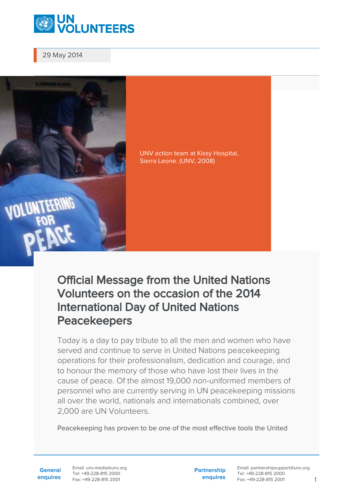

29 May 2014

**OLUNTEERING** 



Official Message from the United Nations Volunteers on the occasion of the 2014 International Day of United Nations Peacekeepers

Today is a day to pay tribute to all the men and women who have served and continue to serve in United Nations peacekeeping operations for their professionalism, dedication and courage, and to honour the memory of those who have lost their lives in the cause of peace. Of the almost 19,000 non-uniformed members of personnel who are currently serving in UN peacekeeping missions all over the world, nationals and internationals combined, over 2,000 are UN Volunteers.

Peacekeeping has proven to be one of the most effective tools the United

**General enquires** Email: unv.media@unv.org Tel: +49-228-815 2000 Fax: +49-228-815 2001

**Partnership enquires**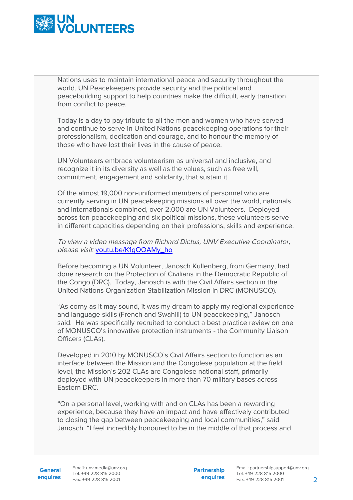

Nations uses to maintain international peace and security throughout the world. UN Peacekeepers provide security and the political and peacebuilding support to help countries make the difficult, early transition from conflict to peace.

Today is a day to pay tribute to all the men and women who have served and continue to serve in United Nations peacekeeping operations for their professionalism, dedication and courage, and to honour the memory of those who have lost their lives in the cause of peace.

UN Volunteers embrace volunteerism as universal and inclusive, and recognize it in its diversity as well as the values, such as free will, commitment, engagement and solidarity, that sustain it.

Of the almost 19,000 non-uniformed members of personnel who are currently serving in UN peacekeeping missions all over the world, nationals and internationals combined, over 2,000 are UN Volunteers. Deployed across ten peacekeeping and six political missions, these volunteers serve in different capacities depending on their professions, skills and experience.

To view a video message from Richard Dictus, UNV Executive Coordinator, please visit: [youtu.be/K1gOOAMy\\_ho](http://youtu.be/K1gOOAMy_ho)

Before becoming a UN Volunteer, Janosch Kullenberg, from Germany, had done research on the Protection of Civilians in the Democratic Republic of the Congo (DRC). Today, Janosch is with the Civil Affairs section in the United Nations Organization Stabilization Mission in DRC (MONUSCO).

"As corny as it may sound, it was my dream to apply my regional experience and language skills (French and Swahili) to UN peacekeeping," Janosch said. He was specifically recruited to conduct a best practice review on one of MONUSCO's innovative protection instruments - the Community Liaison Officers (CLAs).

Developed in 2010 by MONUSCO's Civil Affairs section to function as an interface between the Mission and the Congolese population at the field level, the Mission's 202 CLAs are Congolese national staff, primarily deployed with UN peacekeepers in more than 70 military bases across Eastern DRC.

"On a personal level, working with and on CLAs has been a rewarding experience, because they have an impact and have effectively contributed to closing the gap between peacekeeping and local communities," said Janosch. "I feel incredibly honoured to be in the middle of that process and

**Partnership enquires**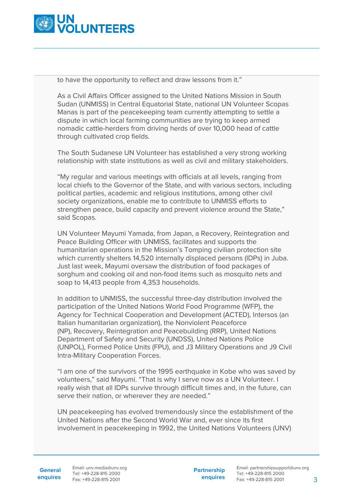

to have the opportunity to reflect and draw lessons from it."

As a Civil Affairs Officer assigned to the United Nations Mission in South Sudan (UNMISS) in Central Equatorial State, national UN Volunteer Scopas Manas is part of the peacekeeping team currently attempting to settle a dispute in which local farming communities are trying to keep armed nomadic cattle-herders from driving herds of over 10,000 head of cattle through cultivated crop fields.

The South Sudanese UN Volunteer has established a very strong working relationship with state institutions as well as civil and military stakeholders.

"My regular and various meetings with officials at all levels, ranging from local chiefs to the Governor of the State, and with various sectors, including political parties, academic and religious institutions, among other civil society organizations, enable me to contribute to UNMISS efforts to strengthen peace, build capacity and prevent violence around the State," said Scopas.

UN Volunteer Mayumi Yamada, from Japan, a Recovery, Reintegration and Peace Building Officer with UNMISS, facilitates and supports the humanitarian operations in the Mission's Tomping civilian protection site which currently shelters 14,520 internally displaced persons (IDPs) in Juba. Just last week, Mayumi oversaw the distribution of food packages of sorghum and cooking oil and non-food items such as mosquito nets and soap to 14,413 people from 4,353 households.

In addition to UNMISS, the successful three-day distribution involved the participation of the United Nations World Food Programme (WFP), the Agency for Technical Cooperation and Development (ACTED), Intersos (an Italian humanitarian organization), the Nonviolent Peaceforce (NP), Recovery, Reintegration and Peacebuilding (RRP), United Nations Department of Safety and Security (UNDSS), United Nations Police (UNPOL), Formed Police Units (FPU), and J3 Military Operations and J9 Civil Intra-Military Cooperation Forces.

"I am one of the survivors of the 1995 earthquake in Kobe who was saved by volunteers," said Mayumi. "That is why I serve now as a UN Volunteer. I really wish that all IDPs survive through difficult times and, in the future, can serve their nation, or wherever they are needed."

UN peacekeeping has evolved tremendously since the establishment of the United Nations after the Second World War and, ever since its first involvement in peacekeeping in 1992, the United Nations Volunteers (UNV)

**General**

**enquires** Fax: +49-228-815 2001 Email: unv.media@unv.org Tel: +49-228-815 2000

**Partnership enquires**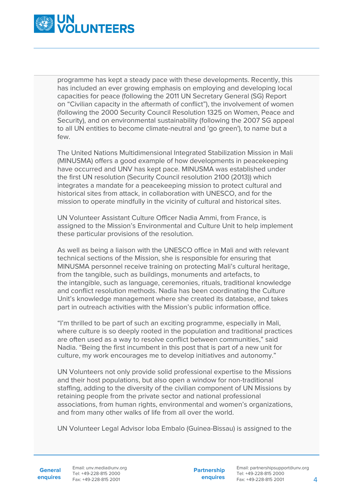

programme has kept a steady pace with these developments. Recently, this has included an ever growing emphasis on employing and developing local capacities for peace (following the 2011 UN Secretary General (SG) Report on "Civilian capacity in the aftermath of conflict"), the involvement of women (following the 2000 Security Council Resolution 1325 on Women, Peace and Security), and on environmental sustainability (following the 2007 SG appeal to all UN entities to become climate-neutral and 'go green'), to name but a few.

The United Nations Multidimensional Integrated Stabilization Mission in Mali (MINUSMA) offers a good example of how developments in peacekeeping have occurred and UNV has kept pace. MINUSMA was established under the first UN resolution (Security Council resolution 2100 (2013)) which integrates a mandate for a peacekeeping mission to protect cultural and historical sites from attack, in collaboration with UNESCO, and for the mission to operate mindfully in the vicinity of cultural and historical sites.

UN Volunteer Assistant Culture Officer Nadia Ammi, from France, is assigned to the Mission's Environmental and Culture Unit to help implement these particular provisions of the resolution.

As well as being a liaison with the UNESCO office in Mali and with relevant technical sections of the Mission, she is responsible for ensuring that MINUSMA personnel receive training on protecting Mali's cultural heritage, from the tangible, such as buildings, monuments and artefacts, to the intangible, such as language, ceremonies, rituals, traditional knowledge and conflict resolution methods. Nadia has been coordinating the Culture Unit's knowledge management where she created its database, and takes part in outreach activities with the Mission's public information office.

"I'm thrilled to be part of such an exciting programme, especially in Mali, where culture is so deeply rooted in the population and traditional practices are often used as a way to resolve conflict between communities," said Nadia. "Being the first incumbent in this post that is part of a new unit for culture, my work encourages me to develop initiatives and autonomy."

UN Volunteers not only provide solid professional expertise to the Missions and their host populations, but also open a window for non-traditional staffing, adding to the diversity of the civilian component of UN Missions by retaining people from the private sector and national professional associations, from human rights, environmental and women's organizations, and from many other walks of life from all over the world.

UN Volunteer Legal Advisor Ioba Embalo (Guinea-Bissau) is assigned to the

**General**

**enquires** Tel: +49-228-815 2000 Fax: +49-228-815 2001 Email: unv.media@unv.org<br>Tel: +49-228-815 2000

**Partnership enquires**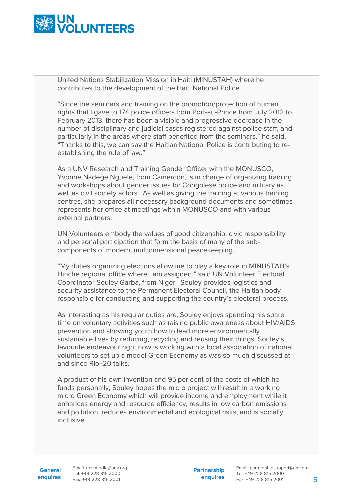

United Nations Stabilization Mission in Haiti (MINUSTAH) where he contributes to the development of the Haiti National Police.

"Since the seminars and training on the promotion/protection of human rights that I gave to 174 police officers from Port-au-Prince from July 2012 to February 2013, there has been a visible and progressive decrease in the number of disciplinary and judicial cases registered against police staff, and particularly in the areas where staff benefited from the seminars," he said. "Thanks to this, we can say the Haitian National Police is contributing to reestablishing the rule of law."

As a UNV Research and Training Gender Officer with the MONUSCO, Yvonne Nadege Nguele, from Cameroon, is in charge of organizing training and workshops about gender issues for Congolese police and military as well as civil society actors. As well as giving the training at various training centres, she prepares all necessary background documents and sometimes represents her office at meetings within MONUSCO and with various external partners.

UN Volunteers embody the values of good citizenship, civic responsibility and personal participation that form the basis of many of the subcomponents of modern, multidimensional peacekeeping.

"My duties organizing elections allow me to play a key role in MINUSTAH's Hinche regional office where I am assigned," said UN Volunteer Electoral Coordinator Souley Garba, from Niger. Souley provides logistics and security assistance to the Permanent Electoral Council, the Haitian body responsible for conducting and supporting the country's electoral process.

As interesting as his regular duties are, Souley enjoys spending his spare time on voluntary activities such as raising public awareness about HIV/AIDS prevention and showing youth how to lead more environmentally sustainable lives by reducing, recycling and reusing their things. Souley's favourite endeavour right now is working with a local association of national volunteers to set up a model Green Economy as was so much discussed at and since Rio+20 talks.

A product of his own invention and 95 per cent of the costs of which he funds personally, Souley hopes the micro project will result in a working micro Green Economy which will provide income and employment while it enhances energy and resource efficiency, results in low carbon emissions and pollution, reduces environmental and ecological risks, and is socially inclusive.

**General**

**enquires** Tel: +49-228-815 2000 Fax: +49-228-815 2001 Email: unv.media@unv.org<br>Tel: +49-228-815 2000

**Partnership enquires**